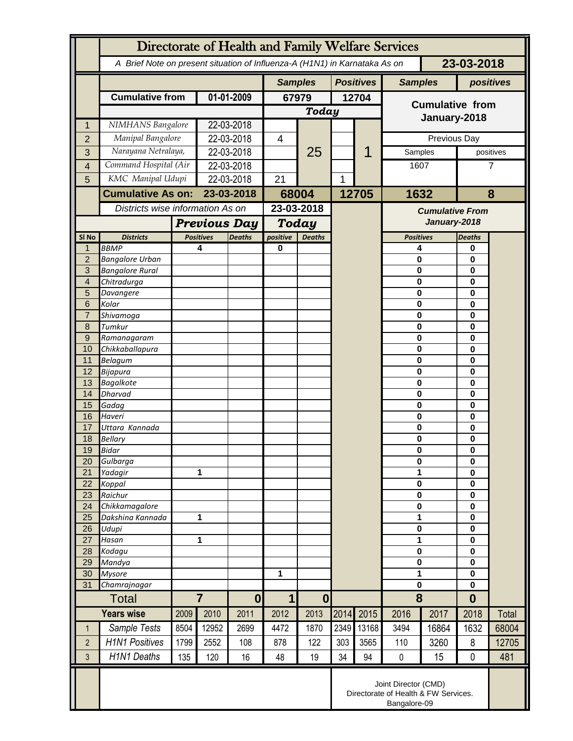|                     | Directorate of Health and Family Welfare Services                                        |                                  |                                   |            |                         |               |      |                                        |                            |               |                            |       |  |
|---------------------|------------------------------------------------------------------------------------------|----------------------------------|-----------------------------------|------------|-------------------------|---------------|------|----------------------------------------|----------------------------|---------------|----------------------------|-------|--|
|                     | A Brief Note on present situation of Influenza-A (H1N1) in Karnataka As on<br>23-03-2018 |                                  |                                   |            |                         |               |      |                                        |                            |               |                            |       |  |
|                     |                                                                                          |                                  |                                   |            | <b>Samples</b>          |               |      | <b>Positives</b>                       | <b>Samples</b>             |               | positives                  |       |  |
|                     | <b>Cumulative from</b>                                                                   | 01-01-2009                       |                                   | 67979      |                         | 12704         |      | <b>Cumulative from</b><br>January-2018 |                            |               |                            |       |  |
|                     |                                                                                          |                                  |                                   |            | Today                   |               |      |                                        |                            |               |                            |       |  |
| 1                   | NIMHANS Bangalore                                                                        |                                  | 22-03-2018<br>22-03-2018          |            |                         |               |      |                                        |                            |               |                            |       |  |
| $\overline{2}$      | Manipal Bangalore<br>Narayana Netralaya,                                                 |                                  | 22-03-2018                        |            | 4                       | 25            |      | 1                                      | Previous Day<br>Samples    |               | positives                  |       |  |
| 3<br>$\overline{4}$ |                                                                                          | Command Hospital (Air            |                                   | 22-03-2018 |                         |               |      |                                        | 1607                       |               |                            | 7     |  |
| 5                   | KMC Manipal Udupi                                                                        |                                  | 22-03-2018                        |            | 21                      |               | 1    |                                        |                            |               |                            |       |  |
|                     | <b>Cumulative As on:</b>                                                                 |                                  | 23-03-2018                        |            | 68004                   |               |      | 12705                                  | 1632                       |               | 8                          |       |  |
|                     |                                                                                          | Districts wise information As on |                                   |            |                         | 23-03-2018    |      |                                        | <b>Cumulative From</b>     |               |                            |       |  |
|                     |                                                                                          |                                  | <b>Previous Day</b>               |            | <b>Today</b>            |               |      |                                        | January-2018               |               |                            |       |  |
| SI No               | <b>Districts</b>                                                                         |                                  | <b>Deaths</b><br><b>Positives</b> |            | positive                | <b>Deaths</b> |      |                                        | <b>Positives</b>           |               | <b>Deaths</b>              |       |  |
| $\mathbf{1}$        | <b>BBMP</b>                                                                              |                                  | 4                                 |            | 0                       |               |      |                                        | 4                          |               | 0                          |       |  |
| $\overline{2}$      | <b>Bangalore Urban</b>                                                                   |                                  |                                   |            |                         |               |      |                                        | $\mathbf 0$                |               | 0                          |       |  |
| 3<br>$\overline{4}$ | <b>Bangalore Rural</b><br>Chitradurga                                                    |                                  |                                   |            |                         |               |      |                                        | $\mathbf 0$<br>$\mathbf 0$ |               | 0<br>0                     |       |  |
| 5                   | Davangere                                                                                |                                  |                                   |            |                         |               |      |                                        | $\mathbf 0$                |               | 0                          |       |  |
| 6                   | Kolar                                                                                    |                                  |                                   |            |                         |               |      |                                        | $\mathbf 0$                |               | $\bf{0}$                   |       |  |
| $\overline{7}$      | Shivamoga                                                                                |                                  |                                   |            |                         |               |      |                                        | $\mathbf 0$                |               | $\bf{0}$                   |       |  |
| 8                   | Tumkur                                                                                   |                                  |                                   |            |                         |               |      |                                        | $\mathbf 0$                |               | $\bf{0}$                   |       |  |
| $\overline{9}$      | Ramanagaram                                                                              |                                  |                                   |            |                         |               |      |                                        | $\mathbf 0$                |               | $\bf{0}$                   |       |  |
| 10                  | Chikkaballapura                                                                          |                                  |                                   |            |                         |               |      |                                        | $\mathbf 0$                |               | $\bf{0}$                   |       |  |
| 11<br>12            | Belagum<br>Bijapura                                                                      |                                  |                                   |            |                         |               |      |                                        | $\mathbf 0$<br>$\mathbf 0$ |               | $\bf{0}$<br>$\bf{0}$       |       |  |
| 13                  | <b>Bagalkote</b>                                                                         |                                  |                                   |            |                         |               |      |                                        | $\mathbf 0$                |               | $\bf{0}$                   |       |  |
| 14                  | <b>Dharvad</b>                                                                           |                                  |                                   |            |                         |               |      |                                        | $\mathbf 0$                |               | 0                          |       |  |
| 15                  | Gadag                                                                                    |                                  |                                   |            |                         |               |      |                                        | $\mathbf 0$                |               | $\bf{0}$                   |       |  |
| 16                  | Haveri                                                                                   |                                  |                                   |            |                         |               |      |                                        | $\mathbf 0$                |               | 0                          |       |  |
| 17                  | Uttara Kannada                                                                           |                                  |                                   |            |                         |               |      |                                        | $\mathbf 0$                |               | 0                          |       |  |
| 18                  | <b>Bellary</b>                                                                           |                                  |                                   |            |                         |               |      |                                        | $\bf{0}$                   |               | 0                          |       |  |
| 19                  | <b>Bidar</b>                                                                             |                                  |                                   |            |                         |               |      |                                        | $\mathbf 0$                |               | $\bf{0}$<br>$\mathbf 0$    |       |  |
| 20<br>21            | Gulbarga<br>Yadagir                                                                      |                                  | 1                                 |            |                         |               |      |                                        |                            | $\bf{0}$<br>1 |                            |       |  |
| 22                  | Koppal                                                                                   |                                  |                                   |            |                         |               |      |                                        | $\pmb{0}$                  |               | $\mathbf 0$<br>$\mathbf 0$ |       |  |
| 23                  | Raichur                                                                                  |                                  |                                   |            |                         |               |      |                                        | $\mathbf 0$                |               | $\mathbf 0$                |       |  |
| 24                  | Chikkamagalore                                                                           |                                  |                                   |            |                         |               |      |                                        | $\mathbf 0$                |               | $\mathbf 0$                |       |  |
| 25                  | Dakshina Kannada                                                                         |                                  | 1                                 |            |                         |               |      |                                        | 1                          |               | $\mathbf 0$                |       |  |
| 26                  | Udupi                                                                                    |                                  |                                   |            |                         |               |      |                                        | $\mathbf 0$                |               | $\mathbf 0$                |       |  |
| 27                  | Hasan                                                                                    | 1                                |                                   |            |                         |               |      |                                        | 1                          |               | $\mathbf 0$                |       |  |
| 28<br>29            | Kodagu<br>Mandya                                                                         |                                  |                                   |            |                         |               |      |                                        | $\mathbf 0$<br>$\mathbf 0$ |               | $\mathbf 0$<br>$\mathbf 0$ |       |  |
| 30                  | <b>Mysore</b>                                                                            |                                  |                                   |            | 1                       |               |      |                                        | 1                          |               | $\mathbf 0$                |       |  |
| 31                  | Chamrajnagar                                                                             |                                  |                                   |            |                         |               |      |                                        | $\mathbf 0$                |               | $\mathbf 0$                |       |  |
| <b>Total</b>        |                                                                                          | $\overline{7}$                   |                                   | $\bf{0}$   | $\mathbf 1$<br>$\bf{0}$ |               |      |                                        | 8                          |               | $\bf{0}$                   |       |  |
|                     | <b>Years wise</b>                                                                        | 2009                             | 2010                              | 2011       | 2012                    | 2013          | 2014 | 2015                                   | 2016                       | 2017          | 2018                       | Total |  |
| $\mathbf{1}$        | Sample Tests                                                                             | 8504                             | 12952                             | 2699       | 4472                    | 1870          | 2349 | 13168                                  | 3494                       | 16864         | 1632                       | 68004 |  |
| $\overline{2}$      | <b>H1N1 Positives</b>                                                                    | 1799                             | 2552                              | 108        | 878                     | 122           | 303  | 3565                                   | 110                        | 3260          | 8                          | 12705 |  |
| 3                   | <b>H1N1 Deaths</b>                                                                       | 135                              | 120                               | 16         | 48                      | 19            | 34   | 94                                     | $\pmb{0}$                  | 15            | $\mathbf 0$                | 481   |  |
|                     | Joint Director (CMD)<br>Directorate of Health & FW Services.<br>Bangalore-09             |                                  |                                   |            |                         |               |      |                                        |                            |               |                            |       |  |